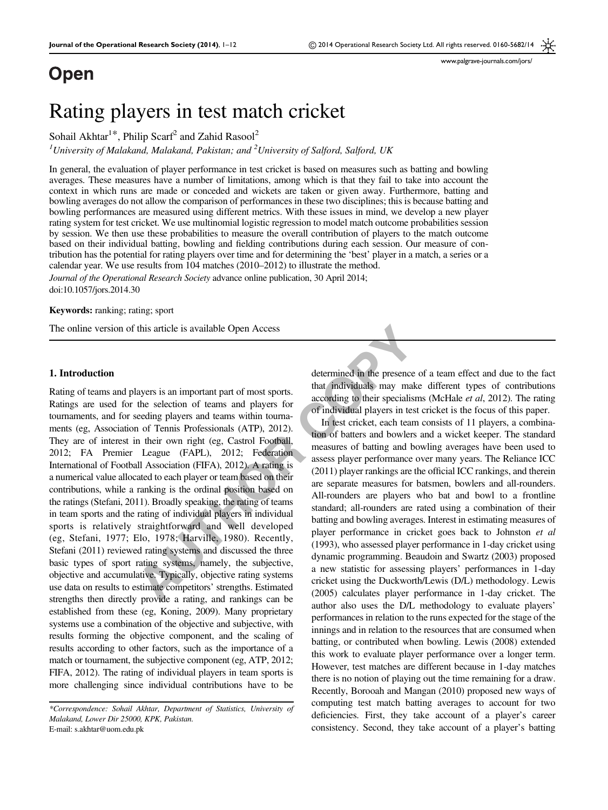## Open

# Rating players in test match cricket

Sohail Akhtar<sup>1\*</sup>, Philip Scarf<sup>2</sup> and Zahid Rasool<sup>2</sup>

<sup>1</sup>University of Malakand, Malakand, Pakistan; and <sup>2</sup>University of Salford, Salford, UK

In general, the evaluation of player performance in test cricket is based on measures such as batting and bowling averages. These measures have a number of limitations, among which is that they fail to take into account the context in which runs are made or conceded and wickets are taken or given away. Furthermore, batting and bowling averages do not allow the comparison of performances in these two disciplines; this is because batting and bowling performances are measured using different metrics. With these issues in mind, we develop a new player rating system for test cricket. We use multinomial logistic regression to model match outcome probabilities session by session. We then use these probabilities to measure the overall contribution of players to the match outcome based on their individual batting, bowling and fielding contributions during each session. Our measure of contribution has the potential for rating players over time and for determining the 'best' player in a match, a series or a calendar year. We use results from 104 matches (2010 –2012) to illustrate the method.

Journal of the Operational Research Society advance online publication, 30 April 2014; doi:[10.1057/jors.2014.30](http://dx.doi.org/10.1057/jors.2014.30)

Keywords: ranking; rating; sport

The online version of this article is available Open Access

#### 1. Introduction

**EXECTS** THE STANDURE STANDURE STANDURE THE CONDINF[OR](#page-11-0)M ON the presence of a matter of the selection of teams and players for the selection of teams and players for the selection of teams and players for correlation and for Rating of teams and players is an important part of most sports. Ratings are used for the selection of teams and players for tournaments, and for seeding players and teams within tournaments (eg, Association of Tennis Professionals (ATP), 2012). They are of interest in their own right (eg, Castrol Football, [2012](#page-11-0); [FA Premier League \(FAPL\), 2012;](#page-11-0) Federation [International of Football Association \(FIFA\), 2012](#page-11-0)). A rating is a numerical value allocated to each player or team based on their contributions, while a ranking is the ordinal position based on the ratings [\(Stefani, 2011](#page-11-0)). Broadly speaking, the rating of teams in team sports and the rating of individual players in individual sports is relatively straightforward and well developed (eg, [Stefani, 1977; Elo, 1978;](#page-11-0) Harville, 1980). Recently, [Stefani \(2011\)](#page-11-0) reviewed rating systems and discussed the three basic types of sport rating systems, namely, the subjective, objective and accumulative. Typically, objective rating systems use data on results to estimate competitors ' strengths. Estimated strengths then directly provide a rating, and rankings can be established from these (eg, [Koning, 2009\)](#page-11-0). Many proprietary systems use a combination of the objective and subjective, with results forming the objective component, and the scaling of results according to other factors, such as the importance of a match or tournament, the subjective component (eg, [ATP, 2012;](#page-11-0) [FIFA, 2012\)](#page-11-0). The rating of individual players in team sports is more challenging since individual contributions have to be

determined in the presence of a team effect and due to the fact that individuals may make different types of contributions according to their specialisms [\(McHale](#page-11-0) et al, 2012). The rating of individual players in test cricket is the focus of this paper.

In test cricket, each team consists of 11 players, a combination of batters and bowlers and a wicket keeper. The standard measures of batting and bowling averages have been used to assess player performance over many years. The Reliance [ICC](#page-11-0) (2011) player rankings are the official ICC rankings, and therein are separate measures for batsmen, bowlers and all-rounders. All-rounders are players who bat and bowl to a frontline standard; all-rounders are rated using a combination of their batting and bowling averages. Interest in estimating measures of player performance in cricket goes back to [Johnston](#page-11-0) et al (1993), who assessed player performance in 1-day cricket using dynamic programming. [Beaudoin and Swartz \(2003\)](#page-11-0) proposed a new statistic for assessing players ' performances in 1-day cricket using the Duckworth/Lewis (D/L) methodology. [Lewis](#page-11-0) (2005) calculates player performance in 1-day cricket. The author also uses the D/L methodology to evaluate players ' performances in relation to the runs expected for the stage of the innings and in relation to the resources that are consumed when batting, or contributed when bowling. [Lewis \(2008\)](#page-11-0) extended this work to evaluate player performance over a longer term. However, test matches are different because in 1-day matches there is no notion of playing out the time remaining for a draw. Recently, [Borooah and Mangan \(2010\)](#page-11-0) proposed new ways of computing test match batting averages to account for two de ficiencies. First, they take account of a player 's career consistency. Second, they take account of a player 's batting

<sup>\*</sup>Correspondence: Sohail Akhtar, Department of Statistics, University of Malakand, Lower Dir 25000, KPK, Pakistan. E-mail: [s.akhtar@uom.edu.pk](mailto:s.akhtar@uom.edu.pk)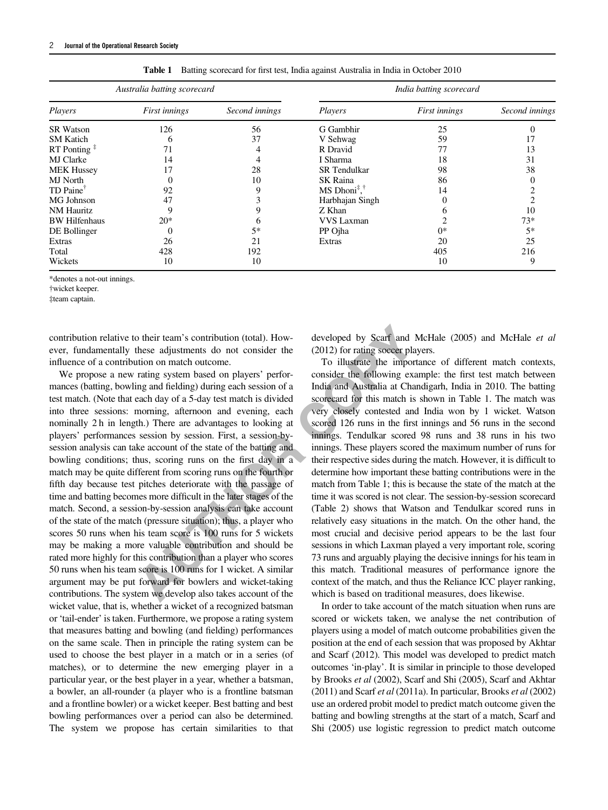<span id="page-1-0"></span>

|                                            | Australia batting scorecard |                |                                      | India batting scorecard |                |
|--------------------------------------------|-----------------------------|----------------|--------------------------------------|-------------------------|----------------|
| Players                                    | <i>First innings</i>        | Second innings | Players                              | First innings           | Second innings |
| <b>SR</b> Watson                           | 126                         | 56             | G Gambhir                            | 25                      | 0              |
| <b>SM Katich</b>                           | 6                           | 37             | V Sehwag                             | 59                      | 17             |
| RT Ponting $*$                             | 71                          |                | R Dravid                             | 77                      | 13             |
| <b>MJ</b> Clarke                           | 14                          | 4              | I Sharma                             | 18                      | 31             |
| <b>MEK Hussey</b>                          | 17                          | 28             | <b>SR</b> Tendulkar                  | 98                      | 38             |
| MJ North                                   | $\theta$                    | 10             | SK Raina                             | 86                      | $\theta$       |
| $TD$ Paine <sup><math>\dagger</math></sup> | 92                          | 9              | MS Dhoni <sup>‡</sup> , <sup>†</sup> | 14                      |                |
| MG Johnson                                 | 47                          | 3              | Harbhajan Singh                      | $\theta$                |                |
| <b>NM Hauritz</b>                          | 9                           | 9              | Z Khan                               | 6                       | 10             |
| <b>BW</b> Hilfenhaus                       | $20*$                       | 6              | <b>VVS Laxman</b>                    | $\overline{2}$          | $73*$          |
| DE Bollinger                               | $\theta$                    | $5*$           | PP Ojha                              | $0*$                    | $5*$           |
| Extras                                     | 26                          | 21             | Extras                               | 20                      | 25             |
| Total                                      | 428                         | 192            |                                      | 405                     | 216            |
| Wickets                                    | 10                          | 10             |                                      | 10                      | 9              |

Table 1 Batting scorecard for first test, India against Australia in India in October 2010

contribution relative to their team 's contribution (total). However, fundamentally these adjustments do not consider the in fluence of a contribution on match outcome.

relative to their team's contribution (total). How-<br> **Example 12** contribution (total). How-<br> **EXAMPLE CONTEX CONTEX CONTEX CONTEX CONTEX CONTEX CONTEX CONTEX CONTEX CONTEX CONTEX CONTEX CONTEX CORRECT CONTEX CORRECT AND T** We propose a new rating system based on players ' performances (batting, bowling and fielding) during each session of a test match. (Note that each day of a 5-day test match is divided into three sessions: morning, afternoon and evening, each nominally 2 h in length.) There are advantages to looking at players ' performances session by session. First, a session-bysession analysis can take account of the state of the batting and bowling conditions; thus, scoring runs on the first day in a match may be quite different from scoring runs on the fourth or fifth day because test pitches deteriorate with the passage of time and batting becomes more difficult in the later stages of the match. Second, a session-by-session analysis can take account of the state of the match (pressure situation); thus, a player who scores 50 runs when his team score is 100 runs for 5 wickets may be making a more valuable contribution and should be rated more highly for this contribution than a player who scores 50 runs when his team score is 100 runs for 1 wicket. A similar argument may be put forward for bowlers and wicket-taking contributions. The system we develop also takes account of the wicket value, that is, whether a wicket of a recognized batsman or 'tail-ender ' is taken. Furthermore, we propose a rating system that measures batting and bowling (and fielding) performances on the same scale. Then in principle the rating system can be used to choose the best player in a match or in a series (of matches), or to determine the new emerging player in a particular year, or the best player in a year, whether a batsman, a bowler, an all-rounder (a player who is a frontline batsman and a frontline bowler) or a wicket keeper. Best batting and best bowling performances over a period can also be determined. The system we propose has certain similarities to that

developed by [Scarf and McHale \(2005\)](#page-11-0) and [McHale](#page-11-0) et al (2012) for rating soccer players.

To illustrate the importance of different match contexts, consider the following example: the first test match between India and Australia at Chandigarh, India in 2010. The batting scorecard for this match is shown in Table 1. The match was very closely contested and India won by 1 wicket. Watson scored 126 runs in the first innings and 56 runs in the second innings. Tendulkar scored 98 runs and 38 runs in his two innings. These players scored the maximum number of runs for their respective sides during the match. However, it is difficult to determine how important these batting contributions were in the match from Table 1; this is because the state of the match at the time it was scored is not clear. The session-by-session scorecard (Table 2) shows that Watson and Tendulkar scored runs in relatively easy situations in the match. On the other hand, the most crucial and decisive period appears to be the last four sessions in which Laxman played a very important role, scoring 73 runs and arguably playing the decisive innings for his team in this match. Traditional measures of performance ignore the context of the match, and thus the Reliance ICC player ranking, which is based on traditional measures, does likewise.

In order to take account of the match situation when runs are scored or wickets taken, we analyse the net contribution of players using a model of match outcome probabilities given the position at the end of each session that was proposed by [Akhtar](#page-11-0) [and Scarf \(2012\).](#page-11-0) This model was developed to predict match outcomes 'in-play '. It is similar in principle to those developed by [Brooks](#page-11-0) et al (2002), [Scarf and Shi \(2005\), Scarf and Akhtar](#page-11-0)  $(2011)$  and Scarf et al  $(2011a)$ . In particular, [Brooks](#page-11-0) et al  $(2002)$ use an ordered probit model to predict match outcome given the batting and bowling strengths at the start of a match, [Scarf and](#page-11-0) [Shi \(2005\)](#page-11-0) use logistic regression to predict match outcome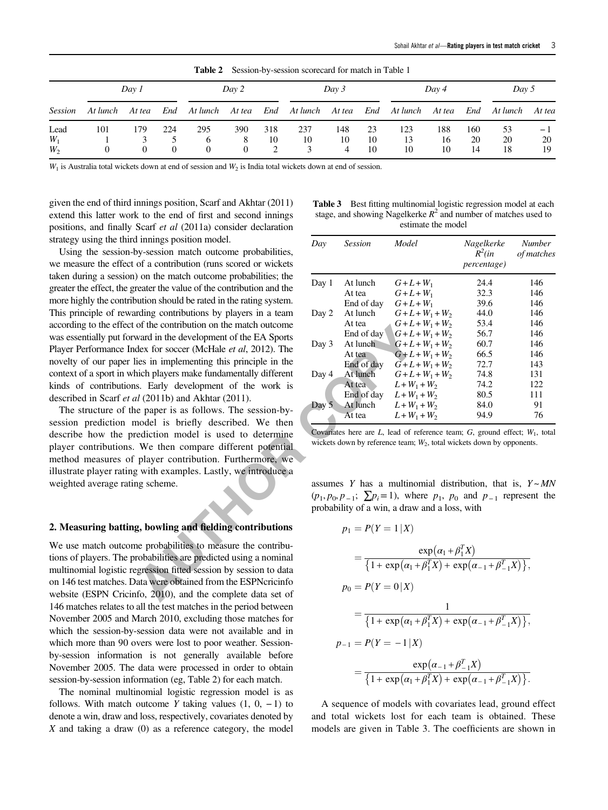<span id="page-2-0"></span>

|                |                 |        |          |                                     |          |     | <b>Table 2</b> Session-by-session scorecard for match in Table 1 |       |    |                     |     |     |                 |     |
|----------------|-----------------|--------|----------|-------------------------------------|----------|-----|------------------------------------------------------------------|-------|----|---------------------|-----|-----|-----------------|-----|
|                | Day 1           |        |          |                                     | Day 2    |     |                                                                  | Day 3 |    | Day 4               |     |     | Day $5$         |     |
| <b>Session</b> | At lunch At tea |        | End      | At lunch At tea End At lunch At tea |          |     |                                                                  |       |    | End At lunch At tea |     | End | At lunch At tea |     |
| Lead           | 101             | 179    | 224      | 295                                 | 390      | 318 | 237                                                              | 148   | 23 | 123                 | 188 | 160 | 53              | — I |
| $W_1$          |                 |        |          | 6                                   | 8        | 10  | 10                                                               | 10    | 10 | 13                  | 16  | 20  | 20              | 20  |
| $W_2$          |                 | $_{0}$ | $\theta$ | $\theta$                            | $\theta$ |     |                                                                  | 4     | 10 | 10                  | 10  | 14  | 18              | 19  |

Table 2 Session-by-session scorecard for match in [Table 1](#page-1-0)

 $W_1$  is Australia total wickets down at end of session and  $W_2$  is India total wickets down at end of session.

given the end of third innings position, [Scarf and Akhtar \(2011\)](#page-11-0) extend this latter work to the end of first and second innings positions, and finally Scarf et al [\(2011a\)](#page-11-0) consider declaration strategy using the third innings position model.

Using the session-by-session match outcome probabilities, we measure the effect of a contribution (runs scored or wickets taken during a session) on the match outcome probabilities; the greater the effect, the greater the value of the contribution and the more highly the contribution should be rated in the rating system. This principle of rewarding contributions by players in a team according to the effect of the contribution on the match outcome was essentially put forward in the development of the EA Sports Player Performance Index for soccer (McHale et al, 2012). The novelty of our paper lies in implementing this principle in the context of a sport in which players make fundamentally different kinds of contributions. Early development of the work is described in Scarf et al (2011b) and Akhtar (2011).

The structure of the paper is as follows. The session-bysession prediction model is briefly described. We then describe how the prediction model is used to determine player contributions. We then compare different potential method measures of player contribution. Furthermore, we illustrate player rating with examples. Lastly, we introduce a weighted average rating scheme.

## 2. Measuring batting, bowling and fielding contributions

**Example 1** and the material of the material of the material of the material of the material of the material of the term paper lies in implementing this principle in the strategy of the transformation. Early development o We use match outcome probabilities to measure the contributions of players. The probabilities are predicted using a nominal multinomial logistic regression fitted session by session to data on 146 test matches. Data were obtained from the ESPNcricinfo website ([ESPN Cricinfo, 2010\)](#page-11-0), and the complete data set of 146 matches relates to all the test matches in the period between November 2005 and March 2010, excluding those matches for which the session-by-session data were not available and in which more than 90 overs were lost to poor weather. Sessionby-session information is not generally available before November 2005. The data were processed in order to obtain session-by-session information (eg, Table 2) for each match.

The nominal multinomial logistic regression model is as follows. With match outcome Y taking values  $(1, 0, -1)$  to denote a win, draw and loss, respectively, covariates denoted by  $X$  and taking a draw  $(0)$  as a reference category, the model

| <b>Table 3</b> Best fitting multinomial logistic regression model at each |
|---------------------------------------------------------------------------|
| stage, and showing Nagelkerke $R^2$ and number of matches used to         |
| estimate the model                                                        |

| Day   | <b>Session</b> | Model           | Nagelkerke<br>$R^2$ (in<br><i>percentage</i> ) | <b>Number</b><br>of matches |
|-------|----------------|-----------------|------------------------------------------------|-----------------------------|
| Day 1 | At lunch       | $G+L+W_1$       | 24.4                                           | 146                         |
|       | At tea         | $G+L+W_1$       | 32.3                                           | 146                         |
|       | End of day     | $G+L+W_1$       | 39.6                                           | 146                         |
| Day 2 | At lunch       | $G+L+W_1+W_2$   | 44.0                                           | 146                         |
|       | At tea         | $G+L+W_1+W_2$   | 53.4                                           | 146                         |
|       | End of day     | $G+L+W_1+W_2$   | 56.7                                           | 146                         |
| Day 3 | At lunch       | $G+L+W_1+W_2$   | 60.7                                           | 146                         |
|       | At tea         | $G+L+W_1+W_2$   | 66.5                                           | 146                         |
|       | End of day     | $G+L+W_1+W_2$   | 72.7                                           | 143                         |
| Day 4 | At lunch       | $G+L+W_1+W_2$   | 74.8                                           | 131                         |
|       | At tea         | $L + W_1 + W_2$ | 74.2                                           | 122                         |
|       | End of day     | $L + W_1 + W_2$ | 80.5                                           | 111                         |
| Day 5 | At lunch       | $L + W_1 + W_2$ | 84.0                                           | 91                          |
|       | At tea         | $L + W_1 + W_2$ | 94.9                                           | 76                          |

Covariates here are  $L$ , lead of reference team;  $G$ , ground effect;  $W_1$ , total wickets down by reference team;  $W_2$ , total wickets down by opponents.

assumes Y has a multinomial distribution, that is,  $Y \sim MN$  $(p_1, p_0, p_{-1}; \sum p_i = 1)$ , where  $p_1$ ,  $p_0$  and  $p_{-1}$  represent the probability of a win, a draw and a loss, with

$$
p_1 = P(Y = 1 | X)
$$
  
= 
$$
\frac{\exp(\alpha_1 + \beta_1^T X)}{\{1 + \exp(\alpha_1 + \beta_1^T X) + \exp(\alpha_{-1} + \beta_{-1}^T X)\}},
$$
  

$$
p_0 = P(Y = 0 | X)
$$
  
= 
$$
\frac{1}{\{1 + \exp(\alpha_1 + \beta_1^T X) + \exp(\alpha_{-1} + \beta_{-1}^T X)\}},
$$
  

$$
p_{-1} = P(Y = -1 | X)
$$
  
= 
$$
\frac{\exp(\alpha_{-1} + \beta_{-1}^T X)}{\{1 + \exp(\alpha_1 + \beta_1^T X) + \exp(\alpha_{-1} + \beta_{-1}^T X)\}}.
$$

A sequence of models with covariates lead, ground effect and total wickets lost for each team is obtained. These models are given in Table 3. The coefficients are shown in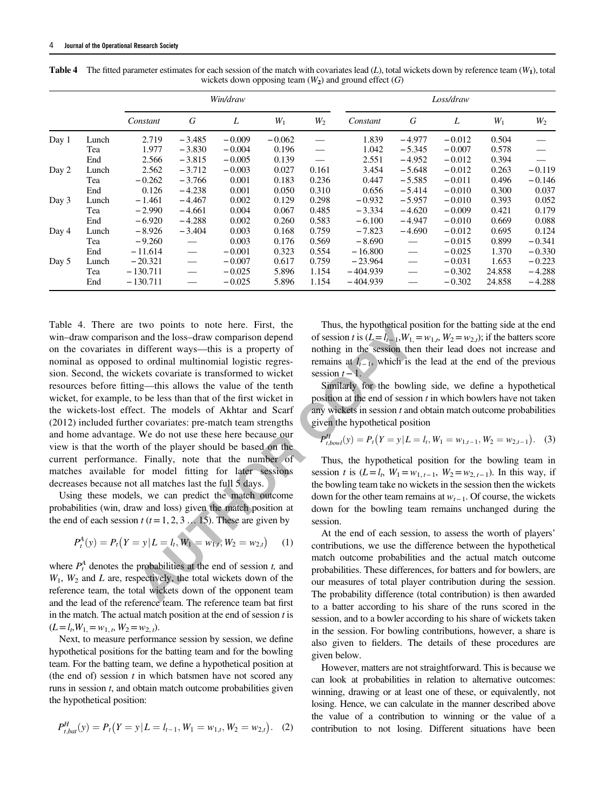|       |       |            |                          | Win/draw |          |                          | Loss/draw  |                 |          |        |          |  |  |
|-------|-------|------------|--------------------------|----------|----------|--------------------------|------------|-----------------|----------|--------|----------|--|--|
|       |       | Constant   | G                        | L        | $W_1$    | $W_2$                    | Constant   | G               | L        | $W_1$  | $W_2$    |  |  |
| Day 1 | Lunch | 2.719      | $-3.485$                 | $-0.009$ | $-0.062$ |                          | 1.839      | $-4.977$        | $-0.012$ | 0.504  |          |  |  |
|       | Tea   | 1.977      | $-3.830$                 | $-0.004$ | 0.196    |                          | 1.042      | $-5.345$        | $-0.007$ | 0.578  |          |  |  |
|       | End   | 2.566      | $-3.815$                 | $-0.005$ | 0.139    | $\overline{\phantom{m}}$ | 2.551      | $-4.952$        | $-0.012$ | 0.394  |          |  |  |
| Day 2 | Lunch | 2.562      | $-3.712$                 | $-0.003$ | 0.027    | 0.161                    | 3.454      | $-5.648$        | $-0.012$ | 0.263  | $-0.119$ |  |  |
|       | Tea   | $-0.262$   | $-3.766$                 | 0.001    | 0.183    | 0.236                    | 0.447      | $-5.585$        | $-0.011$ | 0.496  | $-0.146$ |  |  |
|       | End   | 0.126      | $-4.238$                 | 0.001    | 0.050    | 0.310                    | 0.656      | $-5.414$        | $-0.010$ | 0.300  | 0.037    |  |  |
| Day 3 | Lunch | $-1.461$   | $-4.467$                 | 0.002    | 0.129    | 0.298                    | $-0.932$   | $-5.957$        | $-0.010$ | 0.393  | 0.052    |  |  |
|       | Tea   | $-2.990$   | $-4.661$                 | 0.004    | 0.067    | 0.485                    | $-3.334$   | $-4.620$        | $-0.009$ | 0.421  | 0.179    |  |  |
|       | End   | $-6.920$   | $-4.288$                 | 0.002    | 0.260    | 0.583                    | $-6.100$   | $-4.947$        | $-0.010$ | 0.669  | 0.088    |  |  |
| Day 4 | Lunch | $-8.926$   | $-3.404$                 | 0.003    | 0.168    | 0.759                    | $-7.823$   | $-4.690$        | $-0.012$ | 0.695  | 0.124    |  |  |
|       | Tea   | $-9.260$   |                          | 0.003    | 0.176    | 0.569                    | $-8.690$   | $\qquad \qquad$ | $-0.015$ | 0.899  | $-0.341$ |  |  |
|       | End   | $-11.614$  | $\overline{\phantom{0}}$ | $-0.001$ | 0.323    | 0.554                    | $-16.800$  | $\qquad \qquad$ | $-0.025$ | 1.370  | $-0.330$ |  |  |
| Day 5 | Lunch | $-20.321$  |                          | $-0.007$ | 0.617    | 0.759                    | $-23.964$  |                 | $-0.031$ | 1.653  | $-0.223$ |  |  |
|       | Tea   | $-130.711$ |                          | $-0.025$ | 5.896    | 1.154                    | $-404.939$ |                 | $-0.302$ | 24.858 | $-4.288$ |  |  |
|       | End   | $-130.711$ |                          | $-0.025$ | 5.896    | 1.154                    | $-404.939$ |                 | $-0.302$ | 24.858 | $-4.288$ |  |  |

Table 4 The fitted parameter estimates for each session of the match with covariates lead  $(L)$ , total wickets down by reference team  $(W_1)$ , total wickets down opposing team  $(W_2)$  and ground effect  $(G)$ 

Fre are two points to note here. First, the<br>
the propositional of session *t* is  $(L = I, V_1, W_1, W_2, W_2, W_3, W_4$ <br>
tates in different ways—this is a property of nothing in the session theoretical cordinal nultinomial logisti Table 4. There are two points to note here. First, the win –draw comparison and the loss –draw comparison depend on the covariates in different ways —this is a property of nominal as opposed to ordinal multinomial logistic regression. Second, the wickets covariate is transformed to wicket resources before fitting —this allows the value of the tenth wicket, for example, to be less than that of the first wicket in the wickets-lost effect. The models of Akhtar and Scarf [\(2012\)](#page-11-0) included further covariates: pre-match team strengths and home advantage. We do not use these here because our view is that the worth of the player should be based on the current performance. Finally, note that the number of matches available for model fitting for later sessions decreases because not all matches last the full 5 days.

Using these models, we can predict the match outcome probabilities (win, draw and loss) given the match position at the end of each session  $t$  ( $t = 1, 2, 3...15$ ). These are given by

$$
P_t^A(y) = P_t(Y = y | L = l_t, W_1 = w_{1,t}, W_2 = w_{2,t}) \tag{1}
$$

where  $P_t^A$  denotes the probabilities at the end of session t, and  $W_1$ ,  $W_2$  and  $L$  are, respectively, the total wickets down of the reference team, the total wickets down of the opponent team and the lead of the reference team. The reference team bat first in the match. The actual match position at the end of session  $t$  is  $(L = l_t, W_1 = w_{1, t}, W_2 = w_{2, t}).$ 

Next, to measure performance session by session, we de fine hypothetical positions for the batting team and for the bowling team. For the batting team, we de fine a hypothetical position at (the end of) session  $t$  in which batsmen have not scored any runs in session t, and obtain match outcome probabilities given the hypothetical position:

$$
P_{t,bat}^H(y) = P_t(Y = y | L = l_{t-1}, W_1 = w_{1,t}, W_2 = w_{2,t}). \quad (2)
$$

Thus, the hypothetical position for the batting side at the end of session t is  $(L = l_{t-1}, W_1 = w_{1,t}, W_2 = w_{2,t})$ ; if the batters score nothing in the session then their lead does not increase and remains at  $l_{i-1}$ , which is the lead at the end of the previous session  $t-1$ .

Similarly for the bowling side, we de fine a hypothetical position at the end of session  $t$  in which bowlers have not taken any wickets in session t and obtain match outcome probabilities given the hypothetical position

$$
P_{t, \text{bowl}}^H(y) = P_t(Y = y | L = l_t, W_1 = w_{1,t-1}, W_2 = w_{2,t-1}). \quad (3)
$$

Thus, the hypothetical position for the bowling team in session t is  $(L = l_t, W_1 = w_{1,t-1}, W_2 = w_{2,t-1})$ . In this way, if the bowling team take no wickets in the session then the wickets down for the other team remains at  $w_{t-1}$ . Of course, the wickets down for the bowling team remains unchanged during the session.

At the end of each session, to assess the worth of players ' contributions, we use the difference between the hypothetical match outcome probabilities and the actual match outcome probabilities. These differences, for batters and for bowlers, are our measures of total player contribution during the session. The probability difference (total contribution) is then awarded to a batter according to his share of the runs scored in the session, and to a bowler according to his share of wickets taken in the session. For bowling contributions, however, a share is also given to fielders. The details of these procedures are given below.

However, matters are not straightforward. This is because we can look at probabilities in relation to alternative outcomes: winning, drawing or at least one of these, or equivalently, not losing. Hence, we can calculate in the manner described above the value of a contribution to winning or the value of a contribution to not losing. Different situations have been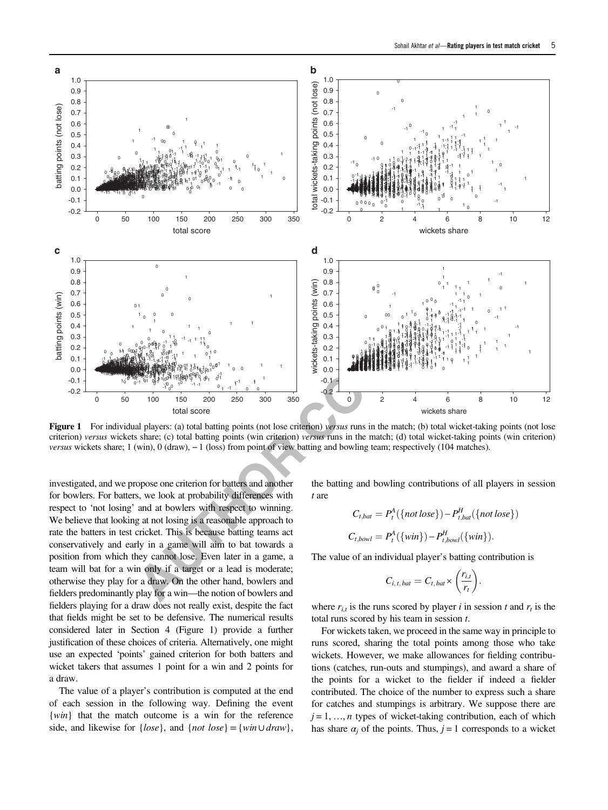<span id="page-4-0"></span>

Figure 1 For individual players: (a) total batting points (not lose criterion) versus runs in the match; (b) total wicket-taking points (not lose criterion) versus wickets share; (c) total batting points (win criterion) versus runs in the match; (d) total wicket-taking points (win criterion) versus wickets share; 1 (win), 0 (draw),  $-1$  (loss) from point of view batting and bowling team; respectively (104 matches).

**Example 1** and  $\frac{1}{2}$  and  $\frac{1}{2}$  and  $\frac{1}{2}$  and  $\frac{1}{2}$  and  $\frac{1}{2}$  and  $\frac{1}{2}$  and  $\frac{1}{2}$  and  $\frac{1}{2}$  and  $\frac{1}{2}$  and  $\frac{1}{2}$  and  $\frac{1}{2}$  and  $\frac{1}{2}$  and  $\frac{1}{2}$  and  $\frac{1}{2}$  and  $\frac{1}{2}$ investigated, and we propose one criterion for batters and another for bowlers. For batters, we look at probability differences with respect to 'not losing ' and at bowlers with respect to winning. We believe that looking at not losing is a reasonable approach to rate the batters in test cricket. This is because batting teams act conservatively and early in a game will aim to bat towards a position from which they cannot lose. Even later in a game, a team will bat for a win only if a target or a lead is moderate; otherwise they play for a draw. On the other hand, bowlers and fielders predominantly play for a win—the notion of bowlers and fielders playing for a draw does not really exist, despite the fact that fields might be set to be defensive. The numerical results considered later in Section 4 (Figure 1) provide a further justi fication of these choices of criteria. Alternatively, one might use an expected 'points ' gained criterion for both batters and wicket takers that assumes 1 point for a win and 2 points for a draw.

The value of a player 's contribution is computed at the end of each session in the following way. De fining the event {win} that the match outcome is a win for the reference side, and likewise for  $\{lose\}$ , and  $\{ not \, lose\} = \{ win \cup draw\}$ ,

the batting and bowling contributions of all players in session t are

$$
C_{t,bat} = P_t^A(\{not \, lose\}) - P_{t,bat}^H(\{not \, lose\})
$$

$$
C_{t,bowl} = P_t^A(\{win\}) - P_{t,bowl}^H(\{win\}).
$$

The value of an individual player 's batting contribution is

$$
C_{i,t,bat} = C_{t,bat} \times \left(\frac{r_{i,t}}{r_t}\right)
$$

:

where  $r_{i,t}$  is the runs scored by player *i* in session *t* and  $r_t$  is the total runs scored by his team in session t.

For wickets taken, we proceed in the same way in principle to runs scored, sharing the total points among those who take wickets. However, we make allowances for fielding contributions (catches, run-outs and stumpings), and award a share of the points for a wicket to the fielder if indeed a fielder contributed. The choice of the number to express such a share for catches and stumpings is arbitrary. We suppose there are  $j = 1, \ldots, n$  types of wicket-taking contribution, each of which has share  $\alpha_j$  of the points. Thus,  $j = 1$  corresponds to a wicket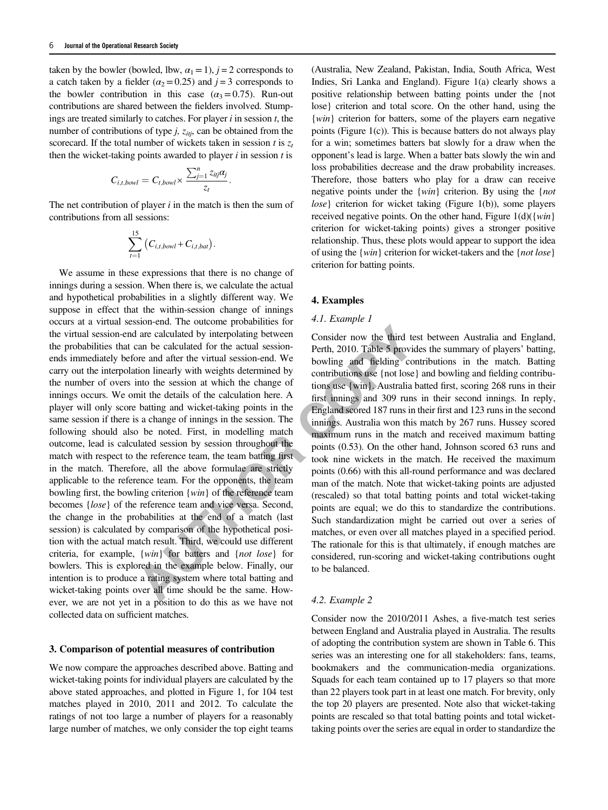taken by the bowler (bowled, lbw,  $\alpha_1 = 1$ ),  $j = 2$  corresponds to a catch taken by a fielder ( $\alpha_2 = 0.25$ ) and  $j = 3$  corresponds to the bowler contribution in this case  $(\alpha_3 = 0.75)$ . Run-out contributions are shared between the fielders involved. Stumpings are treated similarly to catches. For player  $i$  in session  $t$ , the number of contributions of type  $j$ ,  $z_{itj}$ , can be obtained from the scorecard. If the total number of wickets taken in session  $t$  is  $z_t$ then the wicket-taking points awarded to player  $i$  in session  $t$  is

$$
C_{i,t,bowl} = C_{t,bowl} \times \frac{\sum_{j=1}^{n} z_{itj} \alpha_j}{z_t}.
$$

The net contribution of player  $i$  in the match is then the sum of contributions from all sessions:

$$
\sum_{t=1}^{15} \left( C_{i,t,bowl} + C_{i,t,bat} \right).
$$

**Example 10** and the state in the basinon-<br> **AUTHOR CONSTRONAL CONSTRONAL CONSTRONAL CONSTRONAL CONSTRONAL CONSTRONAL CONSTRONAL CONSTRONAL CONSTRONAL CONSTRONAL CONSTRONAL CONSTRONAL CONSTRONAL CONSTRONAL CONSTRONAL CONS** We assume in these expressions that there is no change of innings during a session. When there is, we calculate the actual and hypothetical probabilities in a slightly different way. We suppose in effect that the within-session change of innings occurs at a virtual session-end. The outcome probabilities for the virtual session-end are calculated by interpolating between the probabilities that can be calculated for the actual sessionends immediately before and after the virtual session-end. We carry out the interpolation linearly with weights determined by the number of overs into the session at which the change of innings occurs. We omit the details of the calculation here. A player will only score batting and wicket-taking points in the same session if there is a change of innings in the session. The following should also be noted. First, in modelling match outcome, lead is calculated session by session throughout the match with respect to the reference team, the team batting first in the match. Therefore, all the above formulae are strictly applicable to the reference team. For the opponents, the team bowling first, the bowling criterion {win} of the reference team becomes {*lose*} of the reference team and vice versa. Second, the change in the probabilities at the end of a match (last session) is calculated by comparison of the hypothetical position with the actual match result. Third, we could use different criteria, for example, {win} for batters and {not lose} for bowlers. This is explored in the example below. Finally, our intention is to produce a rating system where total batting and wicket-taking points over all time should be the same. However, we are not yet in a position to do this as we have not collected data on sufficient matches.

#### 3. Comparison of potential measures of contribution

We now compare the approaches described above. Batting and wicket-taking points for individual players are calculated by the above stated approaches, and plotted in [Figure 1,](#page-4-0) for 104 test matches played in 2010, 2011 and 2012. To calculate the ratings of not too large a number of players for a reasonably large number of matches, we only consider the top eight teams (Australia, New Zealand, Pakistan, India, South Africa, West Indies, Sri Lanka and England). [Figure 1\(a\)](#page-4-0) clearly shows a positive relationship between batting points under the {not lose} criterion and total score. On the other hand, using the {*win*} criterion for batters, some of the players earn negative points ([Figure 1\(c\)](#page-4-0)). This is because batters do not always play for a win; sometimes batters bat slowly for a draw when the opponent 's lead is large. When a batter bats slowly the win and loss probabilities decrease and the draw probability increases. Therefore, those batters who play for a draw can receive negative points under the {*win*} criterion. By using the {*not* lose} criterion for wicket taking [\(Figure 1\(b\)\)](#page-4-0), some players received negative points. On the other hand, Figure  $1(d)({win})$ criterion for wicket-taking points) gives a stronger positive relationship. Thus, these plots would appear to support the idea of using the {*win*} criterion for wicket-takers and the {*not lose*} criterion for batting points.

#### 4. Examples

#### 4.1. Example 1

Consider now the third test between Australia and England, Perth, 2010. Table 5 provides the summary of players ' batting, bowling and fielding contributions in the match. Batting contributions use {not lose} and bowling and fielding contributions use {win}. Australia batted first, scoring 268 runs in their first innings and 309 runs in their second innings. In reply, England scored 187 runs in their first and 123 runs in the second innings. Australia won this match by 267 runs. Hussey scored maximum runs in the match and received maximum batting points (0.53). On the other hand, Johnson scored 63 runs and took nine wickets in the match. He received the maximum points (0.66) with this all-round performance and was declared man of the match. Note that wicket-taking points are adjusted (rescaled) so that total batting points and total wicket-taking points are equal; we do this to standardize the contributions. Such standardization might be carried out over a series of matches, or even over all matches played in a speci fied period. The rationale for this is that ultimately, if enough matches are considered, run-scoring and wicket-taking contributions ought to be balanced.

#### 4.2. Example 2

Consider now the 2010/2011 Ashes, a five-match test series between England and Australia played in Australia. The results of adopting the contribution system are shown in [Table 6.](#page-7-0) This series was an interesting one for all stakeholders: fans, teams, bookmakers and the communication-media organizations. Squads for each team contained up to 17 players so that more than 22 players took part in at least one match. For brevity, only the top 20 players are presented. Note also that wicket-taking points are rescaled so that total batting points and total wickettaking points over the series are equal in order to standardize the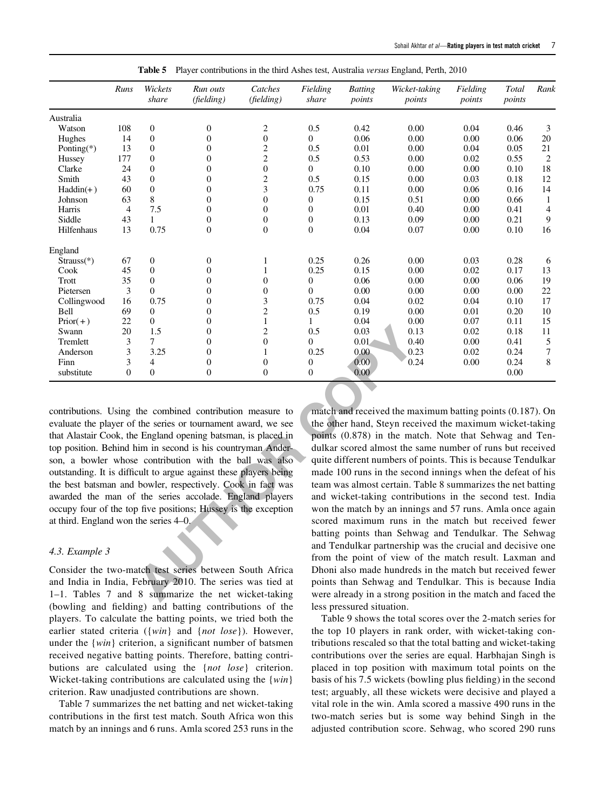<span id="page-6-0"></span>

|               | Runs | Wickets<br>share | Run outs<br>(fielding) | Catches<br>(fielding)   | Fielding<br>share | <b>Batting</b><br>points | Wicket-taking<br>points | Fielding<br>points | Total<br>points | Rank             |
|---------------|------|------------------|------------------------|-------------------------|-------------------|--------------------------|-------------------------|--------------------|-----------------|------------------|
| Australia     |      |                  |                        |                         |                   |                          |                         |                    |                 |                  |
| Watson        | 108  | $\mathbf{0}$     | $\mathbf{0}$           | $\overline{c}$          | 0.5               | 0.42                     | 0.00                    | 0.04               | 0.46            | 3                |
| Hughes        | 14   | $\overline{0}$   | $\theta$               | $\boldsymbol{0}$        | $\overline{0}$    | 0.06                     | 0.00                    | 0.00               | 0.06            | 20               |
| Ponting $(*)$ | 13   | $\Omega$         | $\Omega$               | $\overline{c}$          | 0.5               | 0.01                     | 0.00                    | 0.04               | 0.05            | 21               |
| Hussey        | 177  | $\mathbf{0}$     | 0                      | $\overline{c}$          | 0.5               | 0.53                     | 0.00                    | 0.02               | 0.55            | $\boldsymbol{2}$ |
| Clarke        | 24   | $\Omega$         | $\Omega$               | $\boldsymbol{0}$        | 0                 | 0.10                     | 0.00                    | 0.00               | 0.10            | 18               |
| Smith         | 43   | $\mathbf{0}$     | $\Omega$               | $\overline{c}$          | 0.5               | 0.15                     | 0.00                    | 0.03               | 0.18            | 12               |
| $Haddin(+)$   | 60   | $\Omega$         | $\Omega$               | 3                       | 0.75              | 0.11                     | 0.00                    | 0.06               | 0.16            | 14               |
| Johnson       | 63   | 8                | $\theta$               | $\boldsymbol{0}$        | 0                 | 0.15                     | 0.51                    | 0.00               | 0.66            | $\mathbf{1}$     |
| Harris        | 4    | 7.5              | $\Omega$               | $\overline{0}$          | $\overline{0}$    | 0.01                     | 0.40                    | 0.00               | 0.41            | 4                |
| Siddle        | 43   |                  | 0                      | $\overline{0}$          | $\mathbf{0}$      | 0.13                     | 0.09                    | 0.00               | 0.21            | 9                |
| Hilfenhaus    | 13   | 0.75             | $\Omega$               | $\mathbf{0}$            | $\mathbf{0}$      | 0.04                     | 0.07                    | 0.00               | 0.10            | 16               |
| England       |      |                  |                        |                         |                   |                          |                         |                    |                 |                  |
| $Strauss(*)$  | 67   | $\mathbf{0}$     | $\theta$               |                         | 0.25              | 0.26                     | 0.00                    | 0.03               | 0.28            | 6                |
| Cook          | 45   | $\Omega$         | $\Omega$               |                         | 0.25              | 0.15                     | 0.00                    | 0.02               | 0.17            | 13               |
| Trott         | 35   | $\Omega$         | $\Omega$               | $\overline{0}$          | $\overline{0}$    | 0.06                     | 0.00                    | 0.00               | 0.06            | 19               |
| Pietersen     | 3    | $\Omega$         | $\theta$               | $\overline{0}$          | $\Omega$          | 0.00                     | 0.00                    | 0.00               | 0.00            | 22               |
| Collingwood   | 16   | 0.75             | $\Omega$               | 3                       | 0.75              | 0.04                     | 0.02                    | 0.04               | 0.10            | 17               |
| Bell          | 69   | $\overline{0}$   | $\Omega$               | $\overline{\mathbf{c}}$ | 0.5               | 0.19                     | 0.00                    | 0.01               | 0.20            | 10               |
| $Prior(+)$    | 22   | $\overline{0}$   | 0                      | $\mathbf{1}$            | 1                 | 0.04                     | 0.00                    | 0.07               | 0.11            | 15               |
| Swann         | 20   | 1.5              | $\Omega$               | $\overline{c}$          | 0.5               | 0.03                     | 0.13                    | 0.02               | 0.18            | 11               |
| Tremlett      | 3    | $\tau$           | $\theta$               | $\overline{0}$          | $\Omega$          | 0.01                     | 0.40                    | 0.00               | 0.41            | 5                |
| Anderson      | 3    | 3.25             | $\Omega$               | 1                       | 0.25              | 0.00                     | 0.23                    | 0.02               | 0.24            | $\boldsymbol{7}$ |
| Finn          | 3    | $\overline{4}$   | $\overline{0}$         | $\boldsymbol{0}$        | $\boldsymbol{0}$  | 0.00                     | 0.24                    | 0.00               | 0.24            | 8                |
| substitute    | 0    | $\mathbf{0}$     | $\Omega$               | $\mathbf{0}$            | $\overline{0}$    | 0.00                     |                         |                    | 0.00            |                  |

Table 5 Player contributions in the third Ashes test, Australia versus England, Perth, 2010

 **AUTHOR COPY** contributions. Using the combined contribution measure to evaluate the player of the series or tournament award, we see that Alastair Cook, the England opening batsman, is placed in top position. Behind him in second is his countryman Anderson, a bowler whose contribution with the ball was also outstanding. It is difficult to argue against these players being the best batsman and bowler, respectively. Cook in fact was awarded the man of the series accolade. England players occupy four of the top five positions; Hussey is the exception at third. England won the series 4 –0.

#### 4.3. Example 3

Consider the two-match test series between South Africa and India in India, February 2010. The series was tied at 1–1. Tables 7 and 8 summarize the net wicket-taking (bowling and fielding) and batting contributions of the players. To calculate the batting points, we tried both the earlier stated criteria ({win} and {not lose}). However, under the  $\{win\}$  criterion, a significant number of batsmen received negative batting points. Therefore, batting contributions are calculated using the {not lose} criterion. Wicket-taking contributions are calculated using the {win} criterion. Raw unadjusted contributions are shown.

[Table 7](#page-7-0) summarizes the net batting and net wicket-taking contributions in the first test match. South Africa won this match by an innings and 6 runs. Amla scored 253 runs in the match and received the maximum batting points (0.187). On the other hand, Steyn received the maximum wicket-taking points (0.878) in the match. Note that Sehwag and Tendulkar scored almost the same number of runs but received quite different numbers of points. This is because Tendulkar made 100 runs in the second innings when the defeat of his team was almost certain. [Table 8](#page-8-0) summarizes the net batting and wicket-taking contributions in the second test. India won the match by an innings and 57 runs. Amla once again scored maximum runs in the match but received fewer batting points than Sehwag and Tendulkar. The Sehwag and Tendulkar partnership was the crucial and decisive one from the point of view of the match result. Laxman and Dhoni also made hundreds in the match but received fewer points than Sehwag and Tendulkar. This is because India were already in a strong position in the match and faced the less pressured situation.

[Table 9](#page-8-0) shows the total scores over the 2-match series for the top 10 players in rank order, with wicket-taking contributions rescaled so that the total batting and wicket-taking contributions over the series are equal. Harbhajan Singh is placed in top position with maximum total points on the basis of his 7.5 wickets (bowling plus fielding) in the second test; arguably, all these wickets were decisive and played a vital role in the win. Amla scored a massive 490 runs in the two-match series but is some way behind Singh in the adjusted contribution score. Sehwag, who scored 290 runs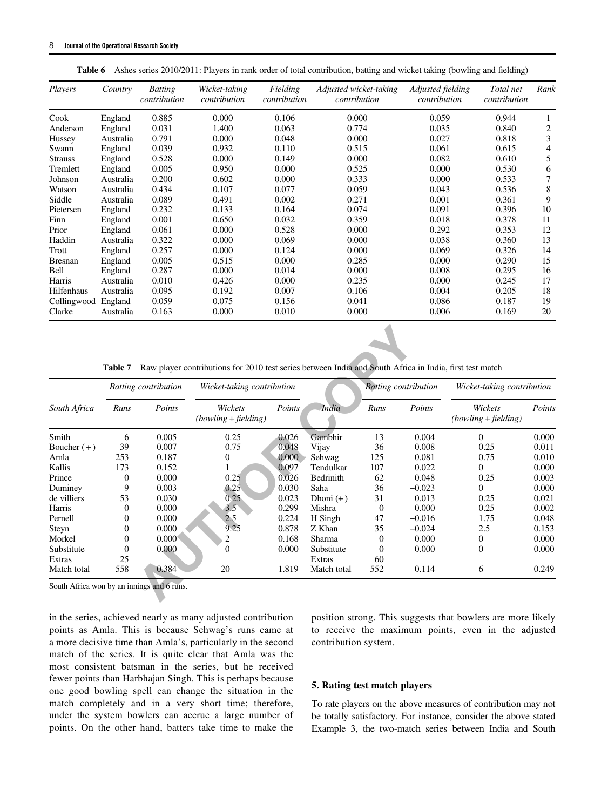<span id="page-7-0"></span>

| 8              |                                                                                                                                  | Journal of the Operational Research Society |                               |                          |                                        |                                   |                           |      |  |  |  |
|----------------|----------------------------------------------------------------------------------------------------------------------------------|---------------------------------------------|-------------------------------|--------------------------|----------------------------------------|-----------------------------------|---------------------------|------|--|--|--|
|                | Ashes series 2010/2011: Players in rank order of total contribution, batting and wicket taking (bowling and fielding)<br>Table 6 |                                             |                               |                          |                                        |                                   |                           |      |  |  |  |
| Players        | Country                                                                                                                          | <b>Batting</b><br>contribution              | Wicket-taking<br>contribution | Fielding<br>contribution | Adjusted wicket-taking<br>contribution | Adjusted fielding<br>contribution | Total net<br>contribution | Rank |  |  |  |
| Cook           | England                                                                                                                          | 0.885                                       | 0.000                         | 0.106                    | 0.000                                  | 0.059                             | 0.944                     |      |  |  |  |
| Anderson       | England                                                                                                                          | 0.031                                       | 1.400                         | 0.063                    | 0.774                                  | 0.035                             | 0.840                     | 2    |  |  |  |
| Hussey         | Australia                                                                                                                        | 0.791                                       | 0.000                         | 0.048                    | 0.000                                  | 0.027                             | 0.818                     | 3    |  |  |  |
| Swann          | England                                                                                                                          | 0.039                                       | 0.932                         | 0.110                    | 0.515                                  | 0.061                             | 0.615                     | 4    |  |  |  |
| <b>Strauss</b> | England                                                                                                                          | 0.528                                       | 0.000                         | 0.149                    | 0.000                                  | 0.082                             | 0.610                     | 5    |  |  |  |
| Tremlett       | England                                                                                                                          | 0.005                                       | 0.950                         | 0.000                    | 0.525                                  | 0.000                             | 0.530                     | 6    |  |  |  |
| Johnson        | Australia                                                                                                                        | 0.200                                       | 0.602                         | 0.000                    | 0.333                                  | 0.000                             | 0.533                     | 7    |  |  |  |
| Watson         | Australia                                                                                                                        | 0.434                                       | 0.107                         | 0.077                    | 0.059                                  | 0.043                             | 0.536                     | 8    |  |  |  |
| Siddle         | Australia                                                                                                                        | 0.089                                       | 0.491                         | 0.002                    | 0.271                                  | 0.001                             | 0.361                     | 9    |  |  |  |
| Pietersen      | England                                                                                                                          | 0.232                                       | 0.133                         | 0.164                    | 0.074                                  | 0.091                             | 0.396                     | 10   |  |  |  |
| Finn           | England                                                                                                                          | 0.001                                       | 0.650                         | 0.032                    | 0.359                                  | 0.018                             | 0.378                     | 11   |  |  |  |
| Prior          | England                                                                                                                          | 0.061                                       | 0.000                         | 0.528                    | 0.000                                  | 0.292                             | 0.353                     | 12   |  |  |  |
| Haddin         | Australia                                                                                                                        | 0.322                                       | 0.000                         | 0.069                    | 0.000                                  | 0.038                             | 0.360                     | 13   |  |  |  |
| Trott          | England                                                                                                                          | 0.257                                       | 0.000                         | 0.124                    | 0.000                                  | 0.069                             | 0.326                     | 14   |  |  |  |
| <b>Bresnan</b> | England                                                                                                                          | 0.005                                       | 0.515                         | 0.000                    | 0.285                                  | 0.000                             | 0.290                     | 15   |  |  |  |
| Bell           | England                                                                                                                          | 0.287                                       | 0.000                         | 0.014                    | 0.000                                  | 0.008                             | 0.295                     | 16   |  |  |  |
| Harris         | Australia                                                                                                                        | 0.010                                       | 0.426                         | 0.000                    | 0.235                                  | 0.000                             | 0.245                     | 17   |  |  |  |
| Hilfenhaus     | Australia                                                                                                                        | 0.095                                       | 0.192                         | 0.007                    | 0.106                                  | 0.004                             | 0.205                     | 18   |  |  |  |
| Collingwood    | England                                                                                                                          | 0.059                                       | 0.075                         | 0.156                    | 0.041                                  | 0.086                             | 0.187                     | 19   |  |  |  |
| Clarke         | Australia                                                                                                                        | 0.163                                       | 0.000                         | 0.010                    | 0.000                                  | 0.006                             | 0.169                     | 20   |  |  |  |

Table 6 Ashes series 2010/2011: Players in rank order of total contribution, batting and wicket taking (bowling and fielding)

Table 7 Raw player contributions for 2010 test series between India and South Africa in India, first test match

|                                            |                  | <b>Batting</b> contribution | Wicket-taking contribution        |        |             |                  | <b>Batting</b> contribution | Wicket-taking contribution        |        |
|--------------------------------------------|------------------|-----------------------------|-----------------------------------|--------|-------------|------------------|-----------------------------|-----------------------------------|--------|
| South Africa                               | Runs             | Points                      | Wickets<br>$(bowling + fielding)$ | Points | India       | Runs             | Points                      | Wickets<br>$(bowling + fielding)$ | Points |
| Smith                                      | 6                | 0.005                       | 0.25                              | 0.026  | Gambhir     | 13               | 0.004                       | $\Omega$                          | 0.000  |
| Boucher $(+)$                              | 39               | 0.007                       | 0.75                              | 0.048  | Vijay       | 36               | 0.008                       | 0.25                              | 0.011  |
| Amla                                       | 253              | 0.187                       | 0                                 | 0.000  | Sehwag      | 125              | 0.081                       | 0.75                              | 0.010  |
| Kallis                                     | 173              | 0.152                       |                                   | 0.097  | Tendulkar   | 107              | 0.022                       | $\Omega$                          | 0.000  |
| Prince                                     | $\boldsymbol{0}$ | 0.000                       | 0.25                              | 0.026  | Bedrinith   | 62               | 0.048                       | 0.25                              | 0.003  |
| Duminey                                    | 9                | 0.003                       | 0.25                              | 0.030  | Saha        | 36               | $-0.023$                    | $\Omega$                          | 0.000  |
| de villiers                                | 53               | 0.030                       | 0.25                              | 0.023  | Dhoni $(+)$ | 31               | 0.013                       | 0.25                              | 0.021  |
| Harris                                     | 0                | 0.000                       | 3.5                               | 0.299  | Mishra      | $\boldsymbol{0}$ | 0.000                       | 0.25                              | 0.002  |
| Pernell                                    | $\overline{0}$   | 0.000                       | 2.5                               | 0.224  | H Singh     | 47               | $-0.016$                    | 1.75                              | 0.048  |
| Steyn                                      | 0                | 0.000                       | 9.25                              | 0.878  | Z Khan      | 35               | $-0.024$                    | 2.5                               | 0.153  |
| Morkel                                     | 0                | 0.000                       | 2                                 | 0.168  | Sharma      | 0                | 0.000                       | $\boldsymbol{0}$                  | 0.000  |
| Substitute                                 | $\overline{0}$   | 0.000                       | $\overline{0}$                    | 0.000  | Substitute  | $\mathbf{0}$     | 0.000                       | $\mathbf{0}$                      | 0.000  |
| Extras                                     | 25               |                             |                                   |        | Extras      | 60               |                             |                                   |        |
| Match total                                | 558              | 0.384                       | 20                                | 1.819  | Match total | 552              | 0.114                       | 6                                 | 0.249  |
| South Africa won by an innings and 6 runs. |                  |                             |                                   |        |             |                  |                             |                                   |        |

in the series, achieved nearly as many adjusted contribution points as Amla. This is because Sehwag 's runs came at a more decisive time than Amla 's, particularly in the second match of the series. It is quite clear that Amla was the most consistent batsman in the series, but he received fewer points than Harbhajan Singh. This is perhaps because one good bowling spell can change the situation in the match completely and in a very short time; therefore, under the system bowlers can accrue a large number of points. On the other hand, batters take time to make the

#### 5. Rating test match players

To rate players on the above measures of contribution may not be totally satisfactory. For instance, consider the above stated Example 3, the two-match series between India and South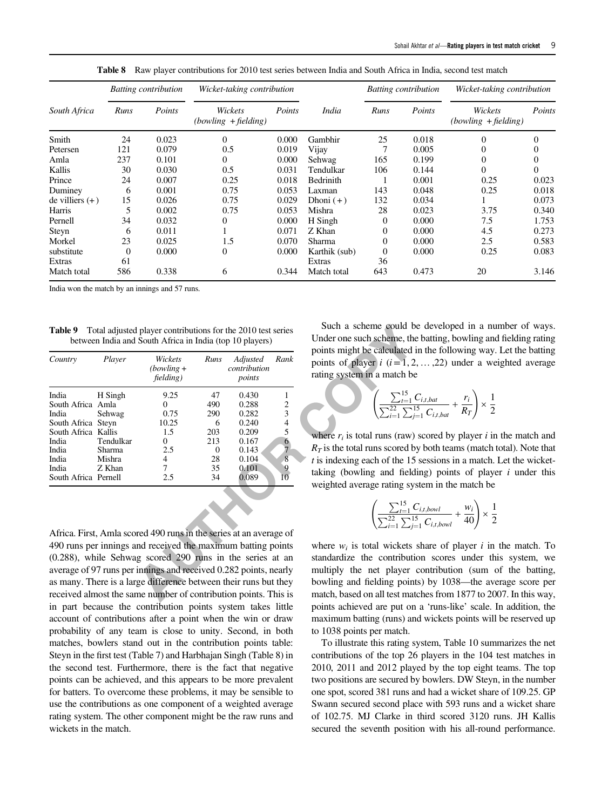<span id="page-8-0"></span>

|                   |                | <b>Batting contribution</b> | Wicket-taking contribution        |        |               |          | <b>Batting contribution</b> | Wicket-taking contribution        |          |
|-------------------|----------------|-----------------------------|-----------------------------------|--------|---------------|----------|-----------------------------|-----------------------------------|----------|
| South Africa      | Runs           | Points                      | Wickets<br>$(bowling + fielding)$ | Points | India         | Runs     | Points                      | Wickets<br>$(bowling + fielding)$ | Points   |
| Smith             | 24             | 0.023                       | 0                                 | 0.000  | Gambhir       | 25       | 0.018                       | $\boldsymbol{0}$                  | $\Omega$ |
| Petersen          | 121            | 0.079                       | 0.5                               | 0.019  | Vijay         |          | 0.005                       | 0                                 | 0        |
| Amla              | 237            | 0.101                       | 0                                 | 0.000  | Sehwag        | 165      | 0.199                       | 0                                 | 0        |
| Kallis            | 30             | 0.030                       | 0.5                               | 0.031  | Tendulkar     | 106      | 0.144                       | 0                                 | $\Omega$ |
| Prince            | 24             | 0.007                       | 0.25                              | 0.018  | Bedrinith     |          | 0.001                       | 0.25                              | 0.023    |
| Duminey           | 6              | 0.001                       | 0.75                              | 0.053  | Laxman        | 143      | 0.048                       | 0.25                              | 0.018    |
| de villiers $(+)$ | 15             | 0.026                       | 0.75                              | 0.029  | Dhoni $(+)$   | 132      | 0.034                       |                                   | 0.073    |
| Harris            | 5              | 0.002                       | 0.75                              | 0.053  | Mishra        | 28       | 0.023                       | 3.75                              | 0.340    |
| Pernell           | 34             | 0.032                       | 0                                 | 0.000  | H Singh       | $\Omega$ | 0.000                       | 7.5                               | 1.753    |
| Steyn             | 6              | 0.011                       |                                   | 0.071  | Z Khan        | $\Omega$ | 0.000                       | 4.5                               | 0.273    |
| Morkel            | 23             | 0.025                       | 1.5                               | 0.070  | Sharma        | 0        | 0.000                       | 2.5                               | 0.583    |
| substitute        | $\overline{0}$ | 0.000                       | 0                                 | 0.000  | Karthik (sub) | $\theta$ | 0.000                       | 0.25                              | 0.083    |
| Extras            | 61             |                             |                                   |        | Extras        | 36       |                             |                                   |          |
| Match total       | 586            | 0.338                       | 6                                 | 0.344  | Match total   | 643      | 0.473                       | 20                                | 3.146    |

Table 8 Raw player contributions for 2010 test series between India and South Africa in India, second test match

India won the match by an innings and 57 runs.

Table 9 Total adjusted player contributions for the 2010 test series between India and South Africa in India (top 10 players)

|                                                                                                    |                                          | <b>Table 9</b> Total adjusted player contributions for the 2010 test series<br>between India and South Africa in India (top 10 players)                                                                                                                                                                                                                                                                                                                                                                                          |                                                 |                                                             |                                                                                 | Such a scheme could b<br>Under one such scheme, the<br>points might be calculated                                                                                                                                                         |
|----------------------------------------------------------------------------------------------------|------------------------------------------|----------------------------------------------------------------------------------------------------------------------------------------------------------------------------------------------------------------------------------------------------------------------------------------------------------------------------------------------------------------------------------------------------------------------------------------------------------------------------------------------------------------------------------|-------------------------------------------------|-------------------------------------------------------------|---------------------------------------------------------------------------------|-------------------------------------------------------------------------------------------------------------------------------------------------------------------------------------------------------------------------------------------|
| Country                                                                                            | Player                                   | Wickets<br>$(bowling +$<br>fielding)                                                                                                                                                                                                                                                                                                                                                                                                                                                                                             | Runs                                            | Adjusted<br>contribution<br>points                          | Rank                                                                            | points of player $i$ $(i = 1, 2)$<br>rating system in a match be                                                                                                                                                                          |
| India<br>South Africa Amla<br>India<br>South Africa Steyn<br>South Africa Kallis<br>India<br>India | H Singh<br>Sehwag<br>Tendulkar<br>Sharma | 9.25<br>$\Omega$<br>0.75<br>10.25<br>1.5<br>$\mathbf{0}$<br>2.5                                                                                                                                                                                                                                                                                                                                                                                                                                                                  | 47<br>490<br>290<br>6<br>203<br>213<br>$\theta$ | 0.430<br>0.288<br>0.282<br>0.240<br>0.209<br>0.167<br>0.143 | $\,1$<br>$\begin{array}{c} 2 \\ 3 \\ 4 \end{array}$<br>5<br>6<br>$\overline{7}$ | $\left(\frac{\sum_{t=1}^{13}}{\sum_{i=1}^{22}\sum_{i}^{1}}\right)$<br>where $r_i$ is total runs (raw)<br>$R_T$ is the total runs scored b                                                                                                 |
| India<br>India<br>South Africa Pernell                                                             | Mishra<br>Z Khan                         | $\overline{4}$<br>$\overline{7}$<br>2.5                                                                                                                                                                                                                                                                                                                                                                                                                                                                                          | 28<br>35<br>34                                  | 0.104<br>0.101<br>0.089                                     | 8<br>$\overline{9}$<br>10                                                       | $t$ is indexing each of the 15<br>taking (bowling and field<br>weighted average rating sy                                                                                                                                                 |
|                                                                                                    |                                          | Africa. First, Amla scored 490 runs in the series at an average of                                                                                                                                                                                                                                                                                                                                                                                                                                                               |                                                 |                                                             |                                                                                 | $\left(\frac{\sum_{t=1}^{15} (x_i - x_i)}{\sum_{i=1}^{22} (\sum_{t=1}^{15} (x_i - x_i)^2)}\right)$                                                                                                                                        |
|                                                                                                    |                                          | 490 runs per innings and received the maximum batting points                                                                                                                                                                                                                                                                                                                                                                                                                                                                     |                                                 |                                                             |                                                                                 | where $w_i$ is total wickets                                                                                                                                                                                                              |
|                                                                                                    |                                          | (0.288), while Sehwag scored 290 runs in the series at an<br>average of 97 runs per innings and received 0.282 points, nearly<br>as many. There is a large difference between their runs but they<br>received almost the same number of contribution points. This is<br>in part because the contribution points system takes little<br>account of contributions after a point when the win or draw<br>probability of any team is close to unity. Second, in both<br>matches, bowlers stand out in the contribution points table: |                                                 |                                                             |                                                                                 | standardize the contributi<br>multiply the net player<br>bowling and fielding poin<br>match, based on all test ma<br>points achieved are put or<br>maximum batting (runs) are<br>to 1038 points per match.<br>To illustrate this rating s |
|                                                                                                    |                                          | Steyn in the first test (Table 7) and Harbhajan Singh (Table 8) in                                                                                                                                                                                                                                                                                                                                                                                                                                                               |                                                 |                                                             |                                                                                 | contributions of the top 2                                                                                                                                                                                                                |

Africa. First, Amla scored 490 runs in the series at an average of 490 runs per innings and received the maximum batting points (0.288), while Sehwag scored 290 runs in the series at an average of 97 runs per innings and received 0.282 points, nearly as many. There is a large difference between their runs but they received almost the same number of contribution points. This is in part because the contribution points system takes little account of contributions after a point when the win or draw probability of any team is close to unity. Second, in both matches, bowlers stand out in the contribution points table: Steyn in the first test [\(Table 7](#page-7-0)) and Harbhajan Singh (Table 8) in the second test. Furthermore, there is the fact that negative points can be achieved, and this appears to be more prevalent for batters. To overcome these problems, it may be sensible to use the contributions as one component of a weighted average rating system. The other component might be the raw runs and wickets in the match.

Such a scheme could be developed in a number of ways. Under one such scheme, the batting, bowling and fielding rating points might be calculated in the following way. Let the batting points of player  $i$  ( $i = 1, 2, ..., 22$ ) under a weighted average rating system in a match be

$$
\left(\frac{\sum_{t=1}^{15} C_{i,t,bat}}{\sum_{i=1}^{22} \sum_{j=1}^{15} C_{i,t,bat}} + \frac{r_i}{R_T}\right) \times \frac{1}{2}
$$

where  $r_i$  is total runs (raw) scored by player  $i$  in the match and  $R_T$  is the total runs scored by both teams (match total). Note that  $t$  is indexing each of the 15 sessions in a match. Let the wickettaking (bowling and fielding) points of player  $i$  under this weighted average rating system in the match be

$$
\left(\frac{\sum_{t=1}^{15} C_{i,t,bowl}}{\sum_{i=1}^{22} \sum_{j=1}^{15} C_{i,t,bowl}} + \frac{w_i}{40}\right) \times \frac{1}{2}
$$

where  $w_i$  is total wickets share of player i in the match. To standardize the contribution scores under this system, we multiply the net player contribution (sum of the batting, bowling and fielding points) by 1038 —the average score per match, based on all test matches from 1877 to 2007. In this way, points achieved are put on a 'runs-like ' scale. In addition, the maximum batting (runs) and wickets points will be reserved up to 1038 points per match.

To illustrate this rating system, [Table 10](#page-9-0) summarizes the net contributions of the top 26 players in the 104 test matches in 2010, 2011 and 2012 played by the top eight teams. The top two positions are secured by bowlers. DW Steyn, in the number one spot, scored 381 runs and had a wicket share of 109.25. GP Swann secured second place with 593 runs and a wicket share of 102.75. MJ Clarke in third scored 3120 runs. JH Kallis secured the seventh position with his all-round performance.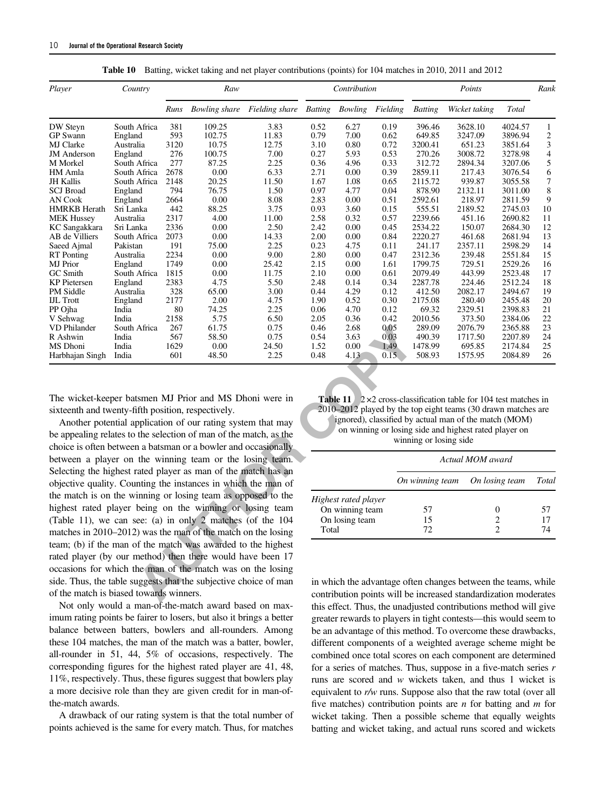<span id="page-9-0"></span>

| Player              | Country      |      | Raw           |                |                | Contribution   |          |                | Points        |         | Rank           |
|---------------------|--------------|------|---------------|----------------|----------------|----------------|----------|----------------|---------------|---------|----------------|
|                     |              | Runs | Bowling share | Fielding share | <b>Batting</b> | <b>Bowling</b> | Fielding | <b>Batting</b> | Wicket taking | Total   |                |
| DW Steyn            | South Africa | 381  | 109.25        | 3.83           | 0.52           | 6.27           | 0.19     | 396.46         | 3628.10       | 4024.57 | 1              |
| <b>GP</b> Swann     | England      | 593  | 102.75        | 11.83          | 0.79           | 7.00           | 0.62     | 649.85         | 3247.09       | 3896.94 | 2              |
| <b>MJ</b> Clarke    | Australia    | 3120 | 10.75         | 12.75          | 3.10           | 0.80           | 0.72     | 3200.41        | 651.23        | 3851.64 | $\mathfrak{Z}$ |
| <b>JM</b> Anderson  | England      | 276  | 100.75        | 7.00           | 0.27           | 5.93           | 0.53     | 270.26         | 3008.72       | 3278.98 | $\overline{4}$ |
| M Morkel            | South Africa | 277  | 87.25         | 2.25           | 0.36           | 4.96           | 0.33     | 312.72         | 2894.34       | 3207.06 | 5              |
| HM Amla             | South Africa | 2678 | 0.00          | 6.33           | 2.71           | 0.00           | 0.39     | 2859.11        | 217.43        | 3076.54 | 6              |
| <b>JH Kallis</b>    | South Africa | 2148 | 20.25         | 11.50          | 1.67           | 1.08           | 0.65     | 2115.72        | 939.87        | 3055.58 | $\overline{7}$ |
| <b>SCJ</b> Broad    | England      | 794  | 76.75         | 1.50           | 0.97           | 4.77           | 0.04     | 878.90         | 2132.11       | 3011.00 | 8              |
| <b>AN Cook</b>      | England      | 2664 | 0.00          | 8.08           | 2.83           | 0.00           | 0.51     | 2592.61        | 218.97        | 2811.59 | 9              |
| <b>HMRKB</b> Herath | Sri Lanka    | 442  | 88.25         | 3.75           | 0.93           | 3.60           | 0.15     | 555.51         | 2189.52       | 2745.03 | 10             |
| <b>MEK Hussey</b>   | Australia    | 2317 | 4.00          | 11.00          | 2.58           | 0.32           | 0.57     | 2239.66        | 451.16        | 2690.82 | 11             |
| KC Sangakkara       | Sri Lanka    | 2336 | 0.00          | 2.50           | 2.42           | 0.00           | 0.45     | 2534.22        | 150.07        | 2684.30 | 12             |
| AB de Villiers      | South Africa | 2073 | 0.00          | 14.33          | 2.00           | 0.00           | 0.84     | 2220.27        | 461.68        | 2681.94 | 13             |
| Saeed Ajmal         | Pakistan     | 191  | 75.00         | 2.25           | 0.23           | 4.75           | 0.11     | 241.17         | 2357.11       | 2598.29 | 14             |
| <b>RT</b> Ponting   | Australia    | 2234 | 0.00          | 9.00           | 2.80           | 0.00           | 0.47     | 2312.36        | 239.48        | 2551.84 | 15             |
| <b>MJ</b> Prior     | England      | 1749 | 0.00          | 25.42          | 2.15           | 0.00           | 1.61     | 1799.75        | 729.51        | 2529.26 | 16             |
| <b>GC</b> Smith     | South Africa | 1815 | 0.00          | 11.75          | 2.10           | 0.00           | 0.61     | 2079.49        | 443.99        | 2523.48 | 17             |
| <b>KP</b> Pietersen | England      | 2383 | 4.75          | 5.50           | 2.48           | 0.14           | 0.34     | 2287.78        | 224.46        | 2512.24 | 18             |
| <b>PM</b> Siddle    | Australia    | 328  | 65.00         | 3.00           | 0.44           | 4.29           | 0.12     | 412.50         | 2082.17       | 2494.67 | 19             |
| <b>IJL</b> Trott    | England      | 2177 | 2.00          | 4.75           | 1.90           | 0.52           | 0.30     | 2175.08        | 280.40        | 2455.48 | 20             |
| PP Ojha             | India        | 80   | 74.25         | 2.25           | 0.06           | 4.70           | 0.12     | 69.32          | 2329.51       | 2398.83 | 21             |
| V Sehwag            | India        | 2158 | 5.75          | 6.50           | 2.05           | 0.36           | 0.42     | 2010.56        | 373.50        | 2384.06 | $22\,$         |
| <b>VD</b> Philander | South Africa | 267  | 61.75         | 0.75           | 0.46           | 2.68           | 0.05     | 289.09         | 2076.79       | 2365.88 | 23             |
| R Ashwin            | India        | 567  | 58.50         | 0.75           | 0.54           | 3.63           | 0.03     | 490.39         | 1717.50       | 2207.89 | 24             |
| MS Dhoni            | India        | 1629 | 0.00          | 24.50          | 1.52           | 0.00           | 1.49     | 1478.99        | 695.85        | 2174.84 | 25             |
| Harbhajan Singh     | India        | 601  | 48.50         | 2.25           | 0.48           | 4.13           | 0.15     | 508.93         | 1575.95       | 2084.89 | 26             |

Table 10 Batting, wicket taking and net player contributions (points) for 104 matches in 2010, 2011 and 2012

The wicket-keeper batsmen MJ Prior and MS Dhoni were in sixteenth and twenty-fifth position, respectively.

South Africa 267 61.75 0.46 2.68 0.05<br>
India 1657 6.75 0.54 3.63 0.05<br>
India 1629 0.00 24.50 0.75 0.48 3.63 0.03<br>
India 1629 0.00 24.50 1.52 0.00 1.49<br>
India 1621 1825 0.00 1.52 0.00 1.49<br>
Copyre hatsen MJ Prior and MS Dh Another potential application of our rating system that may be appealing relates to the selection of man of the match, as the choice is often between a batsman or a bowler and occasionally between a player on the winning team or the losing team. Selecting the highest rated player as man of the match has an objective quality. Counting the instances in which the man of the match is on the winning or losing team as opposed to the highest rated player being on the winning or losing team (Table 11), we can see: (a) in only 2 matches (of the 104 matches in 2010 –2012) was the man of the match on the losing team; (b) if the man of the match was awarded to the highest rated player (by our method) then there would have been 17 occasions for which the man of the match was on the losing side. Thus, the table suggests that the subjective choice of man of the match is biased towards winners.

Not only would a man-of-the-match award based on maximum rating points be fairer to losers, but also it brings a better balance between batters, bowlers and all-rounders. Among these 104 matches, the man of the match was a batter, bowler, all-rounder in 51, 44, 5% of occasions, respectively. The corresponding figures for the highest rated player are 41, 48, 11%, respectively. Thus, these figures suggest that bowlers play a more decisive role than they are given credit for in man-ofthe-match awards.

A drawback of our rating system is that the total number of points achieved is the same for every match. Thus, for matches

Table 11  $2 \times 2$  cross-classification table for 104 test matches in 2010 –2012 played by the top eight teams (30 drawn matches are ignored), classi fied by actual man of the match (MOM) on winning or losing side and highest rated player on winning or losing side

|                      |                                | Actual MOM award |       |
|----------------------|--------------------------------|------------------|-------|
|                      | On winning team On losing team |                  | Total |
| Highest rated player |                                |                  |       |
| On winning team      | 57                             |                  | 57    |
| On losing team       | 15                             |                  | 17    |
| Total                | 72                             |                  | 74    |

in which the advantage often changes between the teams, while contribution points will be increased standardization moderates this effect. Thus, the unadjusted contributions method will give greater rewards to players in tight contests —this would seem to be an advantage of this method. To overcome these drawbacks, different components of a weighted average scheme might be combined once total scores on each component are determined for a series of matches. Thus, suppose in a five-match series  $r$ runs are scored and w wickets taken, and thus 1 wicket is equivalent to r/w runs. Suppose also that the raw total (over all five matches) contribution points are n for batting and m for wicket taking. Then a possible scheme that equally weights batting and wicket taking, and actual runs scored and wickets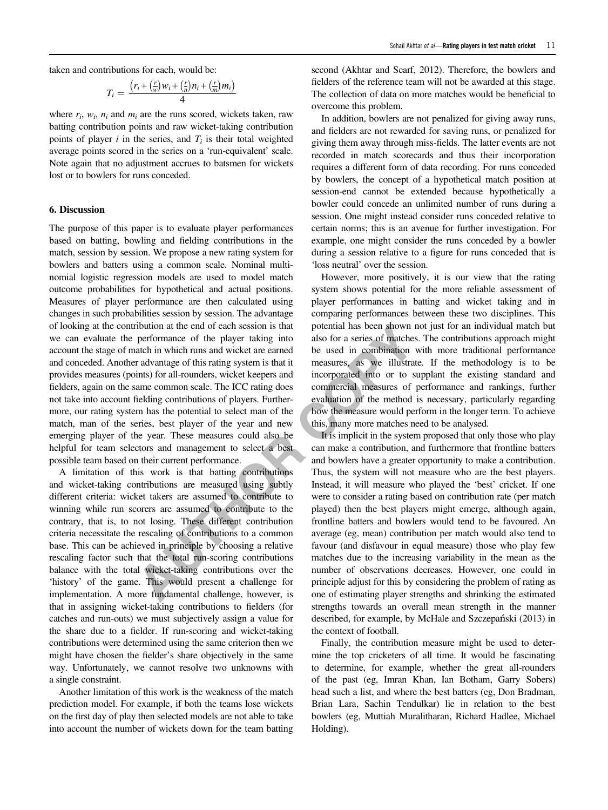$$
T_i = \frac{\left(r_i + \left(\frac{r}{w}\right)w_i + \left(\frac{r}{n}\right)n_i + \left(\frac{r}{m}\right)m_i\right)}{4}
$$

where  $r_i$ ,  $w_i$ ,  $n_i$  and  $m_i$  are the runs scored, wickets taken, raw batting contribution points and raw wicket-taking contribution points of player  $i$  in the series, and  $T_i$  is their total weighted average points scored in the series on a 'run-equivalent ' scale. Note again that no adjustment accrues to batsmen for wickets lost or to bowlers for runs conceded.

#### 6. Discussion

The purpose of this paper is to evaluate player performances based on batting, bowling and fielding contributions in the match, session by session. We propose a new rating system for bowlers and batters using a common scale. Nominal multinomial logistic regression models are used to model match outcome probabilities for hypothetical and actual positions. Measures of player performance are then calculated using changes in such probabilities session by session. The advantage of looking at the contribution at the end of each session is that we can evaluate the performance of the player taking into account the stage of match in which runs and wicket are earned and conceded. Another advantage of this rating system is that it provides measures (points) for all-rounders, wicket keepers and fielders, again on the same common scale. The ICC rating does not take into account fielding contributions of players. Furthermore, our rating system has the potential to select man of the match, man of the series, best player of the year and new emerging player of the year. These measures could also be helpful for team selectors and management to select a best possible team based on their current performance.

the contribution at the end of each session is that potential has been shown<br>at the performance of the player taking into<br>also for a series of matche<br>age of match in which runs and wicket are carned be used in combination<br> A limitation of this work is that batting contributions and wicket-taking contributions are measured using subtly different criteria: wicket takers are assumed to contribute to winning while run scorers are assumed to contribute to the contrary, that is, to not losing. These different contribution criteria necessitate the rescaling of contributions to a common base. This can be achieved in principle by choosing a relative rescaling factor such that the total run-scoring contributions balance with the total wicket-taking contributions over the 'history' of the game. This would present a challenge for implementation. A more fundamental challenge, however, is that in assigning wicket-taking contributions to fielders (for catches and run-outs) we must subjectively assign a value for the share due to a fielder. If run-scoring and wicket-taking contributions were determined using the same criterion then we might have chosen the fielder 's share objectively in the same way. Unfortunately, we cannot resolve two unknowns with a single constraint.

Another limitation of this work is the weakness of the match prediction model. For example, if both the teams lose wickets on the first day of play then selected models are not able to take into account the number of wickets down for the team batting second [\(Akhtar and Scarf, 2012](#page-11-0)). Therefore, the bowlers and fielders of the reference team will not be awarded at this stage. The collection of data on more matches would be bene ficial to overcome this problem.

In addition, bowlers are not penalized for giving away runs, and fielders are not rewarded for saving runs, or penalized for giving them away through miss-fields. The latter events are not recorded in match scorecards and thus their incorporation requires a different form of data recording. For runs conceded by bowlers, the concept of a hypothetical match position at session-end cannot be extended because hypothetically a bowler could concede an unlimited number of runs during a session. One might instead consider runs conceded relative to certain norms; this is an avenue for further investigation. For example, one might consider the runs conceded by a bowler during a session relative to a figure for runs conceded that is 'loss neutral' over the session.

However, more positively, it is our view that the rating system shows potential for the more reliable assessment of player performances in batting and wicket taking and in comparing performances between these two disciplines. This potential has been shown not just for an individual match but also for a series of matches. The contributions approach might be used in combination with more traditional performance measures, as we illustrate. If the methodology is to be incorporated into or to supplant the existing standard and commercial measures of performance and rankings, further evaluation of the method is necessary, particularly regarding how the measure would perform in the longer term. To achieve this, many more matches need to be analysed.

It is implicit in the system proposed that only those who play can make a contribution, and furthermore that frontline batters and bowlers have a greater opportunity to make a contribution. Thus, the system will not measure who are the best players. Instead, it will measure who played the 'best ' cricket. If one were to consider a rating based on contribution rate (per match played) then the best players might emerge, although again, frontline batters and bowlers would tend to be favoured. An average (eg, mean) contribution per match would also tend to favour (and disfavour in equal measure) those who play few matches due to the increasing variability in the mean as the number of observations decreases. However, one could in principle adjust for this by considering the problem of rating as one of estimating player strengths and shrinking the estimated strengths towards an overall mean strength in the manner described, for example, by [McHale and Szczepa](#page-11-0) ński (2013) in the context of football.

Finally, the contribution measure might be used to determine the top cricketers of all time. It would be fascinating to determine, for example, whether the great all-rounders of the past (eg, Imran Khan, Ian Botham, Garry Sobers) head such a list, and where the best batters (eg, Don Bradman, Brian Lara, Sachin Tendulkar) lie in relation to the best bowlers (eg, Muttiah Muralitharan, Richard Hadlee, Michael Holding).